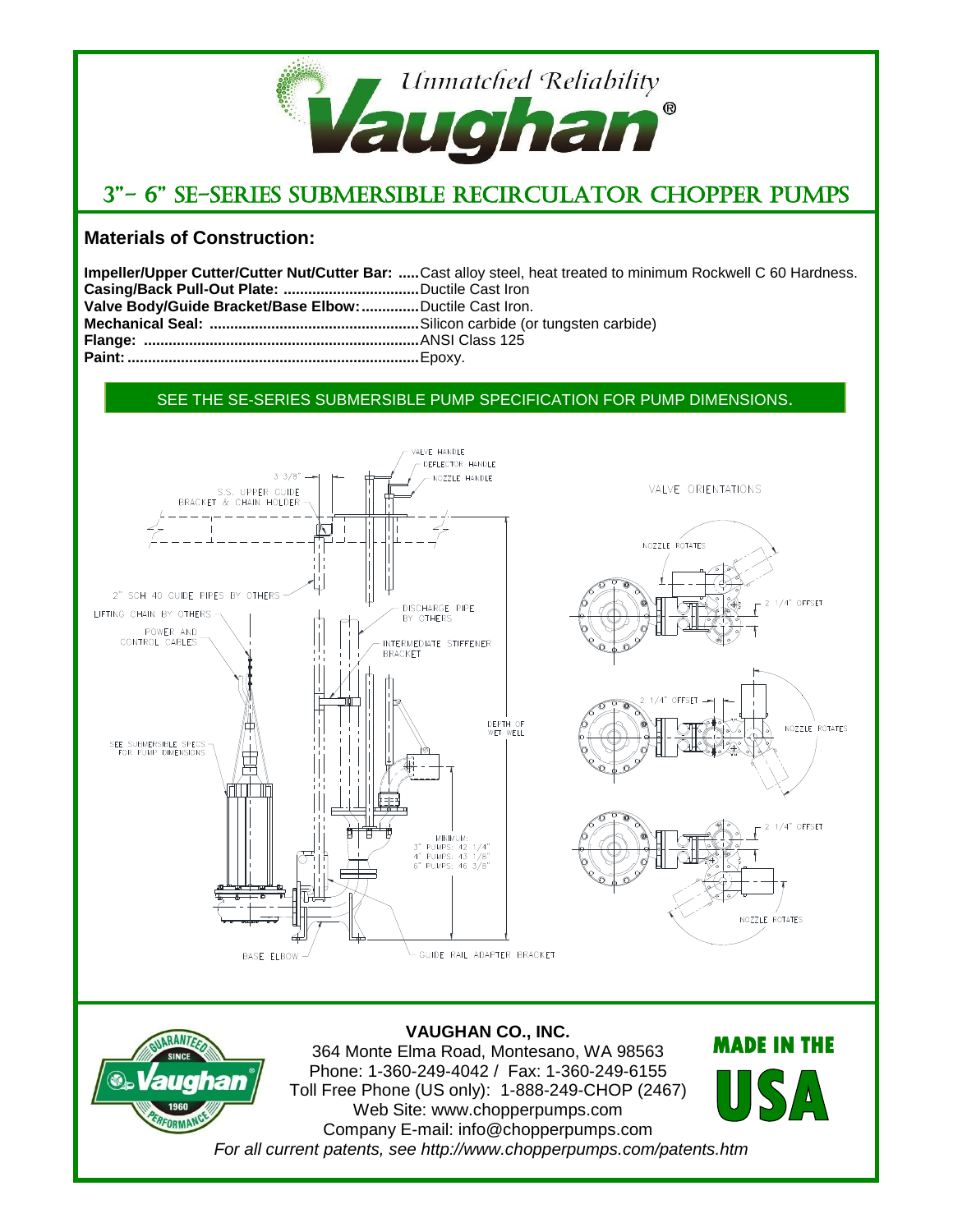

# 3"- 6" SE-Series Submersible Recirculator Chopper Pumps

## **Materials of Construction:**

|                                                          | Impeller/Upper Cutter/Cutter Nut/Cutter Bar: Cast alloy steel, heat treated to minimum Rockwell C 60 Hardness. |
|----------------------------------------------------------|----------------------------------------------------------------------------------------------------------------|
|                                                          |                                                                                                                |
| Valve Body/Guide Bracket/Base Elbow:  Ductile Cast Iron. |                                                                                                                |
|                                                          |                                                                                                                |
|                                                          |                                                                                                                |
|                                                          |                                                                                                                |

#### SEE THE SE-SERIES SUBMERSIBLE PUMP SPECIFICATION FOR PUMP DIMENSIONS.



*For all current patents, see http://www.chopperpumps.com/patents.htm*